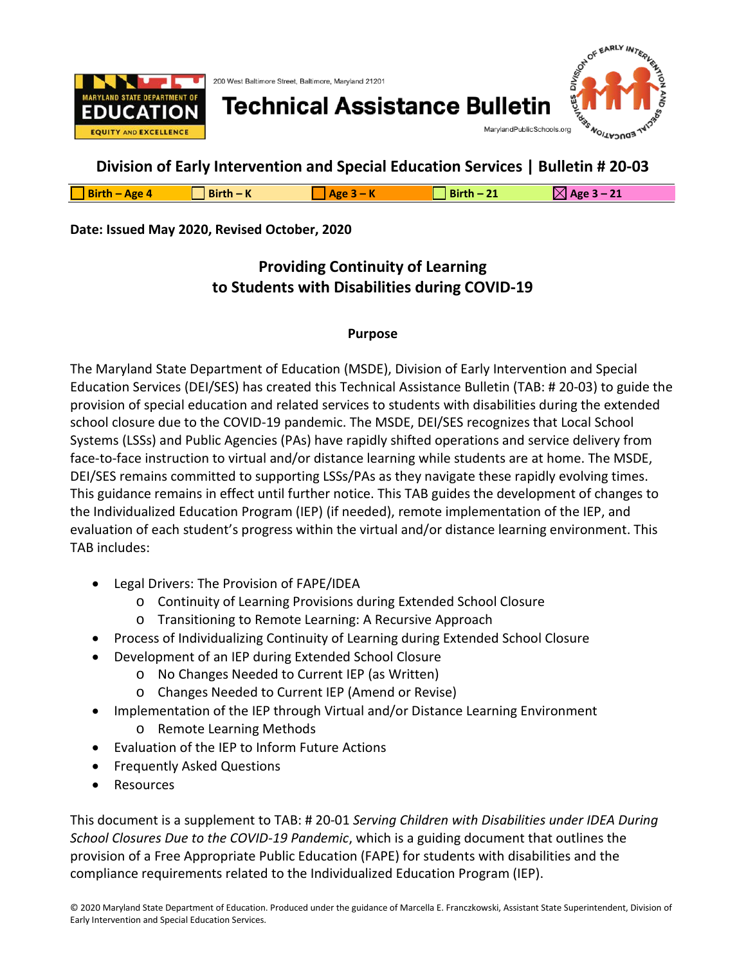

200 West Baltimore Street, Baltimore, Maryland 21201

# **Technical Assistance Bulletin**



DIV<sub>IS</sub>

# **Division of Early Intervention and Special Education Services | Bulletin # 20-03**

| $\Box$ Birth - Age 4 | $Birth - K$ | $R - K$<br>Age | Birth $-2$ | $\mathbb{N}$ Age 3 – 21 |
|----------------------|-------------|----------------|------------|-------------------------|
|                      |             |                |            |                         |

### **Date: Issued May 2020, Revised October, 2020**

# **Providing Continuity of Learning to Students with Disabilities during COVID-19**

### **Purpose**

The Maryland State Department of Education (MSDE), Division of Early Intervention and Special Education Services (DEI/SES) has created this Technical Assistance Bulletin (TAB: # 20-03) to guide the provision of special education and related services to students with disabilities during the extended school closure due to the COVID-19 pandemic. The MSDE, DEI/SES recognizes that Local School Systems (LSSs) and Public Agencies (PAs) have rapidly shifted operations and service delivery from face-to-face instruction to virtual and/or distance learning while students are at home. The MSDE, DEI/SES remains committed to supporting LSSs/PAs as they navigate these rapidly evolving times. This guidance remains in effect until further notice. This TAB guides the development of changes to the Individualized Education Program (IEP) (if needed), remote implementation of the IEP, and evaluation of each student's progress within the virtual and/or distance learning environment. This TAB includes:

- Legal Drivers: The Provision of FAPE/IDEA
	- o Continuity of Learning Provisions during Extended School Closure
	- o Transitioning to Remote Learning: A Recursive Approach
- Process of Individualizing Continuity of Learning during Extended School Closure
- Development of an IEP during Extended School Closure
	- o No Changes Needed to Current IEP (as Written)
		- o Changes Needed to Current IEP (Amend or Revise)
- Implementation of the IEP through Virtual and/or Distance Learning Environment
	- o Remote Learning Methods
- Evaluation of the IEP to Inform Future Actions
- Frequently Asked Questions
- Resources

This document is a supplement to TAB: # 20-01 *Serving Children with Disabilities under IDEA During School Closures Due to the COVID-19 Pandemic*, which is a guiding document that outlines the provision of a Free Appropriate Public Education (FAPE) for students with disabilities and the compliance requirements related to the Individualized Education Program (IEP).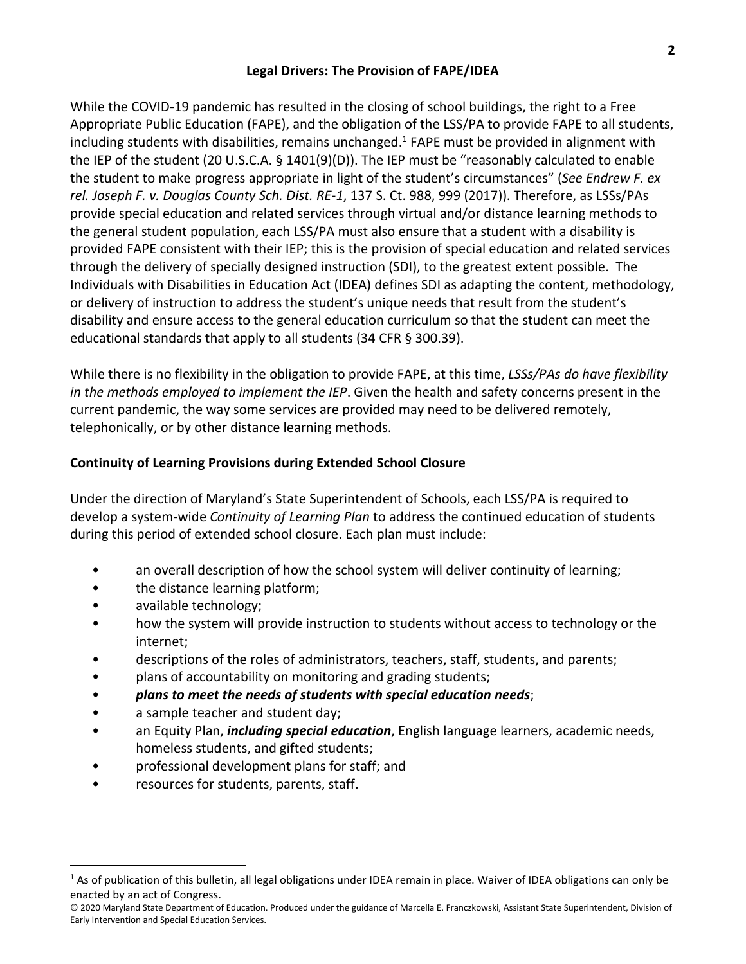### **Legal Drivers: The Provision of FAPE/IDEA**

While the COVID-19 pandemic has resulted in the closing of school buildings, the right to a Free Appropriate Public Education (FAPE), and the obligation of the LSS/PA to provide FAPE to all students, including students with disabilities, remains unchanged.<sup>1</sup> FAPE must be provided in alignment with the IEP of the student (20 U.S.C.A. § 1401(9)(D)). The IEP must be "reasonably calculated to enable the student to make progress appropriate in light of the student's circumstances" (*See Endrew F. ex rel. Joseph F. v. Douglas County Sch. Dist. RE-1*, 137 S. Ct. 988, 999 (2017)). Therefore, as LSSs/PAs provide special education and related services through virtual and/or distance learning methods to the general student population, each LSS/PA must also ensure that a student with a disability is provided FAPE consistent with their IEP; this is the provision of special education and related services through the delivery of specially designed instruction (SDI), to the greatest extent possible. The Individuals with Disabilities in Education Act (IDEA) defines SDI as adapting the content, methodology, or delivery of instruction to address the student's unique needs that result from the student's disability and ensure access to the general education curriculum so that the student can meet the educational standards that apply to all students (34 CFR § 300.39).

While there is no flexibility in the obligation to provide FAPE, at this time, *LSSs/PAs do have flexibility in the methods employed to implement the IEP*. Given the health and safety concerns present in the current pandemic, the way some services are provided may need to be delivered remotely, telephonically, or by other distance learning methods.

### **Continuity of Learning Provisions during Extended School Closure**

Under the direction of Maryland's State Superintendent of Schools, each LSS/PA is required to develop a system-wide *Continuity of Learning Plan* to address the continued education of students during this period of extended school closure. Each plan must include:

- an overall description of how the school system will deliver continuity of learning;
- the distance learning platform;
- available technology;

 $\overline{a}$ 

- how the system will provide instruction to students without access to technology or the internet;
- descriptions of the roles of administrators, teachers, staff, students, and parents;
- plans of accountability on monitoring and grading students;
- *plans to meet the needs of students with special education needs*;
- a sample teacher and student day;
- an Equity Plan, *including special education*, English language learners, academic needs, homeless students, and gifted students;
- professional development plans for staff; and
- resources for students, parents, staff.

 $1$  As of publication of this bulletin, all legal obligations under IDEA remain in place. Waiver of IDEA obligations can only be enacted by an act of Congress.

<sup>© 2020</sup> Maryland State Department of Education. Produced under the guidance of Marcella E. Franczkowski, Assistant State Superintendent, Division of Early Intervention and Special Education Services.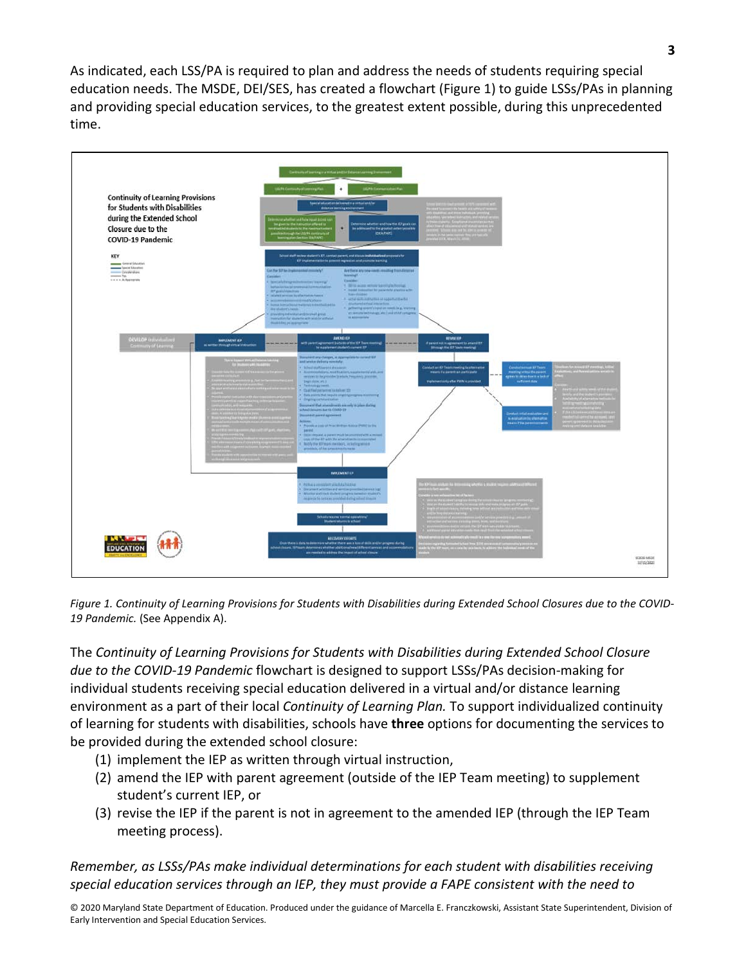As indicated, each LSS/PA is required to plan and address the needs of students requiring special education needs. The MSDE, DEI/SES, has created a flowchart (Figure 1) to guide LSSs/PAs in planning and providing special education services, to the greatest extent possible, during this unprecedented time.



*Figure 1. Continuity of Learning Provisions for Students with Disabilities during Extended School Closures due to the COVID-19 Pandemic.* (See Appendix A).

The *Continuity of Learning Provisions for Students with Disabilities during Extended School Closure due to the COVID-19 Pandemic* flowchart is designed to support LSSs/PAs decision-making for individual students receiving special education delivered in a virtual and/or distance learning environment as a part of their local *Continuity of Learning Plan.* To support individualized continuity of learning for students with disabilities, schools have **three** options for documenting the services to be provided during the extended school closure:

- (1) implement the IEP as written through virtual instruction,
- (2) amend the IEP with parent agreement (outside of the IEP Team meeting) to supplement student's current IEP, or
- (3) revise the IEP if the parent is not in agreement to the amended IEP (through the IEP Team meeting process).

*Remember, as LSSs/PAs make individual determinations for each student with disabilities receiving special education services through an IEP, they must provide a FAPE consistent with the need to*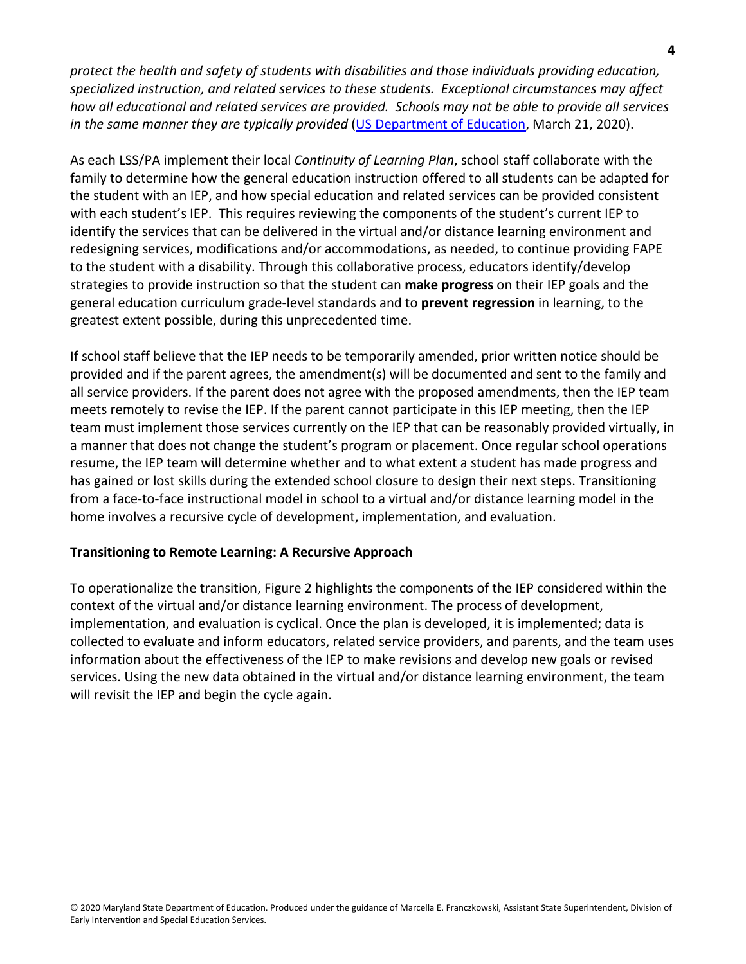*protect the health and safety of students with disabilities and those individuals providing education, specialized instruction, and related services to these students. Exceptional circumstances may affect how all educational and related services are provided. Schools may not be able to provide all services in the same manner they are typically provided* [\(US Department of Education,](https://www2.ed.gov/about/offices/list/ocr/frontpage/faq/rr/policyguidance/Supple%20Fact%20Sheet%203.21.20%20FINAL.pdf) March 21, 2020).

As each LSS/PA implement their local *Continuity of Learning Plan*, school staff collaborate with the family to determine how the general education instruction offered to all students can be adapted for the student with an IEP, and how special education and related services can be provided consistent with each student's IEP. This requires reviewing the components of the student's current IEP to identify the services that can be delivered in the virtual and/or distance learning environment and redesigning services, modifications and/or accommodations, as needed, to continue providing FAPE to the student with a disability. Through this collaborative process, educators identify/develop strategies to provide instruction so that the student can **make progress** on their IEP goals and the general education curriculum grade-level standards and to **prevent regression** in learning, to the greatest extent possible, during this unprecedented time.

If school staff believe that the IEP needs to be temporarily amended, prior written notice should be provided and if the parent agrees, the amendment(s) will be documented and sent to the family and all service providers. If the parent does not agree with the proposed amendments, then the IEP team meets remotely to revise the IEP. If the parent cannot participate in this IEP meeting, then the IEP team must implement those services currently on the IEP that can be reasonably provided virtually, in a manner that does not change the student's program or placement. Once regular school operations resume, the IEP team will determine whether and to what extent a student has made progress and has gained or lost skills during the extended school closure to design their next steps. Transitioning from a face-to-face instructional model in school to a virtual and/or distance learning model in the home involves a recursive cycle of development, implementation, and evaluation.

### **Transitioning to Remote Learning: A Recursive Approach**

To operationalize the transition, Figure 2 highlights the components of the IEP considered within the context of the virtual and/or distance learning environment. The process of development, implementation, and evaluation is cyclical. Once the plan is developed, it is implemented; data is collected to evaluate and inform educators, related service providers, and parents, and the team uses information about the effectiveness of the IEP to make revisions and develop new goals or revised services. Using the new data obtained in the virtual and/or distance learning environment, the team will revisit the IEP and begin the cycle again.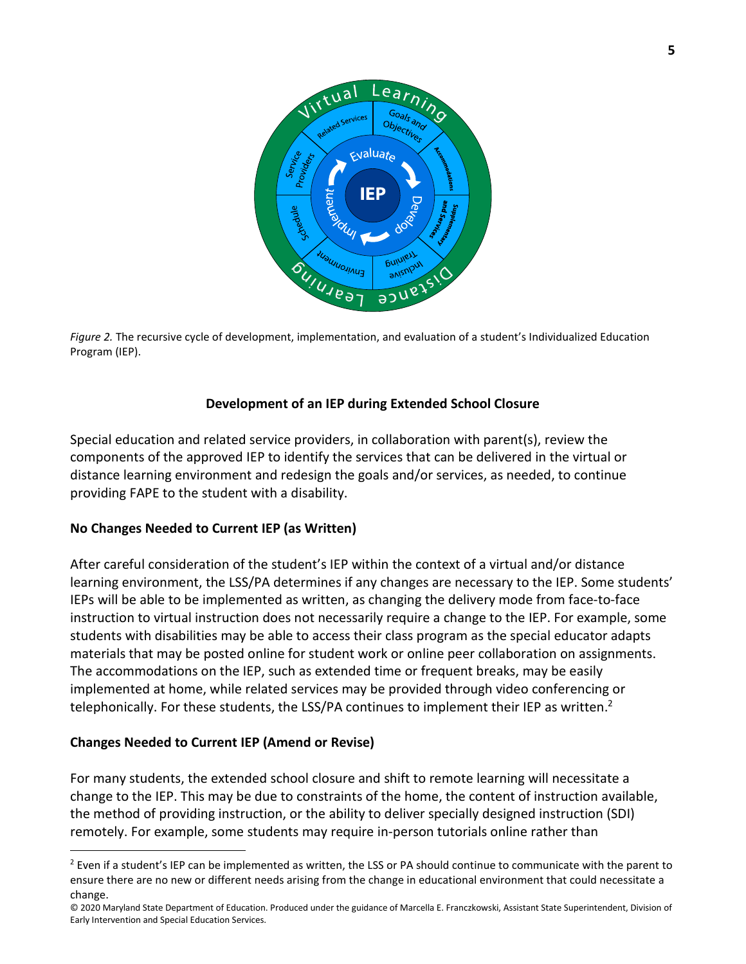

*Figure 2.* The recursive cycle of development, implementation, and evaluation of a student's Individualized Education Program (IEP).

### **Development of an IEP during Extended School Closure**

Special education and related service providers, in collaboration with parent(s), review the components of the approved IEP to identify the services that can be delivered in the virtual or distance learning environment and redesign the goals and/or services, as needed, to continue providing FAPE to the student with a disability.

### **No Changes Needed to Current IEP (as Written)**

After careful consideration of the student's IEP within the context of a virtual and/or distance learning environment, the LSS/PA determines if any changes are necessary to the IEP. Some students' IEPs will be able to be implemented as written, as changing the delivery mode from face-to-face instruction to virtual instruction does not necessarily require a change to the IEP. For example, some students with disabilities may be able to access their class program as the special educator adapts materials that may be posted online for student work or online peer collaboration on assignments. The accommodations on the IEP, such as extended time or frequent breaks, may be easily implemented at home, while related services may be provided through video conferencing or telephonically. For these students, the LSS/PA continues to implement their IEP as written.<sup>2</sup>

### **Changes Needed to Current IEP (Amend or Revise)**

 $\overline{a}$ 

For many students, the extended school closure and shift to remote learning will necessitate a change to the IEP. This may be due to constraints of the home, the content of instruction available, the method of providing instruction, or the ability to deliver specially designed instruction (SDI) remotely. For example, some students may require in-person tutorials online rather than

 $2$  Even if a student's IEP can be implemented as written, the LSS or PA should continue to communicate with the parent to ensure there are no new or different needs arising from the change in educational environment that could necessitate a change.

<sup>© 2020</sup> Maryland State Department of Education. Produced under the guidance of Marcella E. Franczkowski, Assistant State Superintendent, Division of Early Intervention and Special Education Services.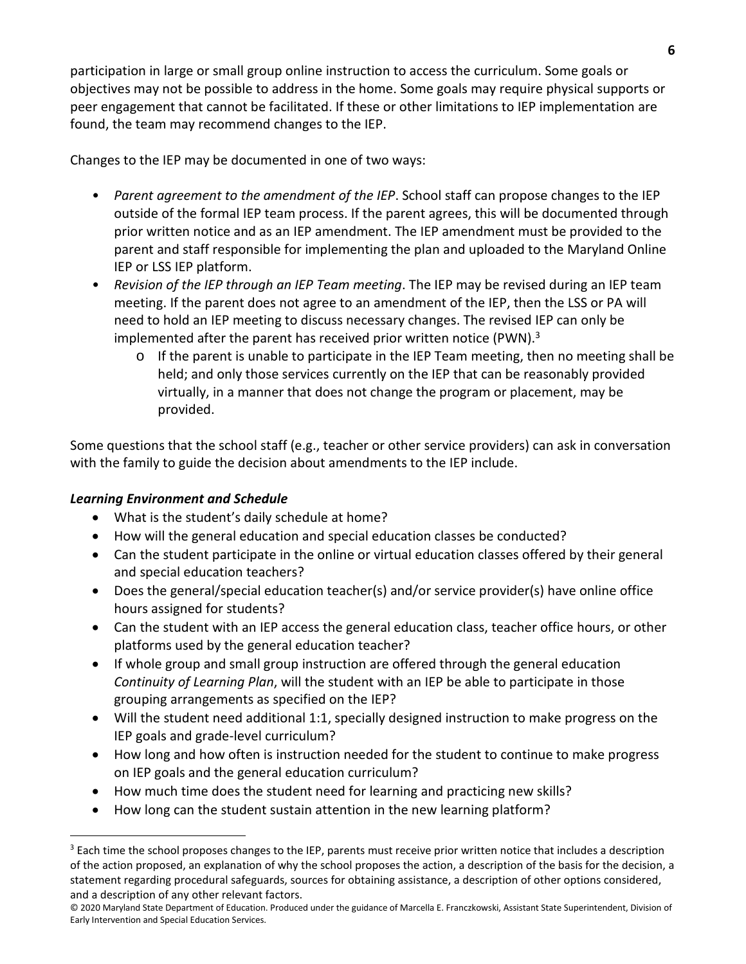participation in large or small group online instruction to access the curriculum. Some goals or objectives may not be possible to address in the home. Some goals may require physical supports or peer engagement that cannot be facilitated. If these or other limitations to IEP implementation are found, the team may recommend changes to the IEP.

Changes to the IEP may be documented in one of two ways:

- *Parent agreement to the amendment of the IEP*. School staff can propose changes to the IEP outside of the formal IEP team process. If the parent agrees, this will be documented through prior written notice and as an IEP amendment. The IEP amendment must be provided to the parent and staff responsible for implementing the plan and uploaded to the Maryland Online IEP or LSS IEP platform.
- *Revision of the IEP through an IEP Team meeting*. The IEP may be revised during an IEP team meeting. If the parent does not agree to an amendment of the IEP, then the LSS or PA will need to hold an IEP meeting to discuss necessary changes. The revised IEP can only be implemented after the parent has received prior written notice (PWN).<sup>3</sup>
	- $\circ$  If the parent is unable to participate in the IEP Team meeting, then no meeting shall be held; and only those services currently on the IEP that can be reasonably provided virtually, in a manner that does not change the program or placement, may be provided.

Some questions that the school staff (e.g., teacher or other service providers) can ask in conversation with the family to guide the decision about amendments to the IEP include.

# *Learning Environment and Schedule*

 $\overline{a}$ 

- What is the student's daily schedule at home?
- How will the general education and special education classes be conducted?
- Can the student participate in the online or virtual education classes offered by their general and special education teachers?
- Does the general/special education teacher(s) and/or service provider(s) have online office hours assigned for students?
- Can the student with an IEP access the general education class, teacher office hours, or other platforms used by the general education teacher?
- If whole group and small group instruction are offered through the general education *Continuity of Learning Plan*, will the student with an IEP be able to participate in those grouping arrangements as specified on the IEP?
- Will the student need additional 1:1, specially designed instruction to make progress on the IEP goals and grade-level curriculum?
- How long and how often is instruction needed for the student to continue to make progress on IEP goals and the general education curriculum?
- How much time does the student need for learning and practicing new skills?
- How long can the student sustain attention in the new learning platform?

 $3$  Each time the school proposes changes to the IEP, parents must receive prior written notice that includes a description of the action proposed, an explanation of why the school proposes the action, a description of the basis for the decision, a statement regarding procedural safeguards, sources for obtaining assistance, a description of other options considered, and a description of any other relevant factors.

<sup>© 2020</sup> Maryland State Department of Education. Produced under the guidance of Marcella E. Franczkowski, Assistant State Superintendent, Division of Early Intervention and Special Education Services.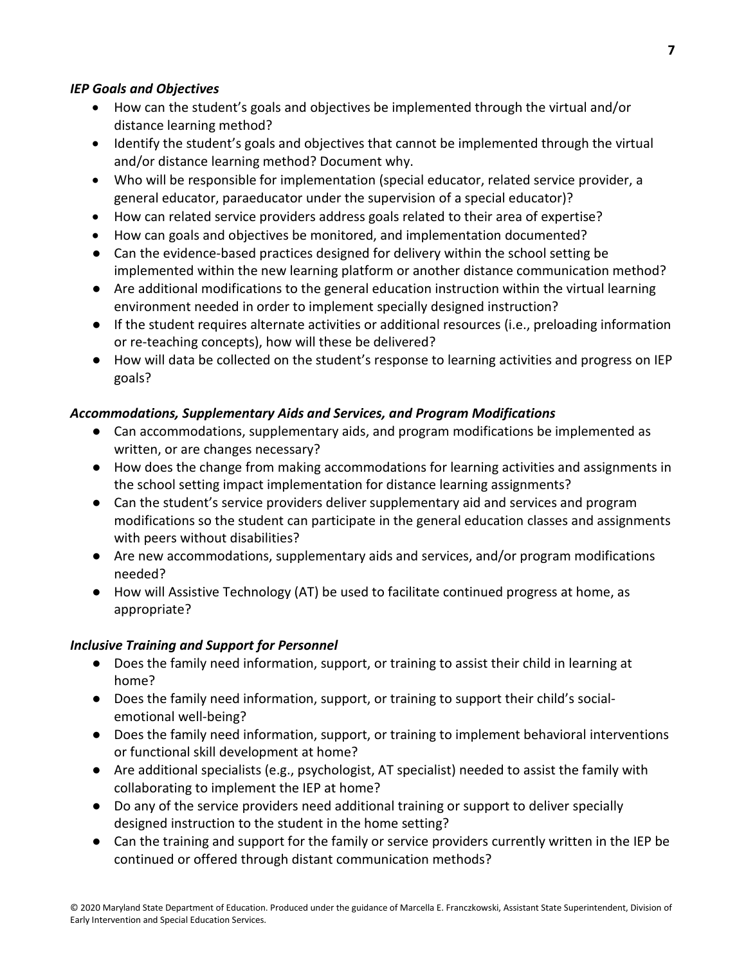### *IEP Goals and Objectives*

- How can the student's goals and objectives be implemented through the virtual and/or distance learning method?
- Identify the student's goals and objectives that cannot be implemented through the virtual and/or distance learning method? Document why.
- Who will be responsible for implementation (special educator, related service provider, a general educator, paraeducator under the supervision of a special educator)?
- How can related service providers address goals related to their area of expertise?
- How can goals and objectives be monitored, and implementation documented?
- Can the evidence-based practices designed for delivery within the school setting be implemented within the new learning platform or another distance communication method?
- Are additional modifications to the general education instruction within the virtual learning environment needed in order to implement specially designed instruction?
- If the student requires alternate activities or additional resources (i.e., preloading information or re-teaching concepts), how will these be delivered?
- How will data be collected on the student's response to learning activities and progress on IEP goals?

# *Accommodations, Supplementary Aids and Services, and Program Modifications*

- Can accommodations, supplementary aids, and program modifications be implemented as written, or are changes necessary?
- How does the change from making accommodations for learning activities and assignments in the school setting impact implementation for distance learning assignments?
- Can the student's service providers deliver supplementary aid and services and program modifications so the student can participate in the general education classes and assignments with peers without disabilities?
- Are new accommodations, supplementary aids and services, and/or program modifications needed?
- How will Assistive Technology (AT) be used to facilitate continued progress at home, as appropriate?

### *Inclusive Training and Support for Personnel*

- Does the family need information, support, or training to assist their child in learning at home?
- Does the family need information, support, or training to support their child's socialemotional well-being?
- Does the family need information, support, or training to implement behavioral interventions or functional skill development at home?
- Are additional specialists (e.g., psychologist, AT specialist) needed to assist the family with collaborating to implement the IEP at home?
- Do any of the service providers need additional training or support to deliver specially designed instruction to the student in the home setting?
- Can the training and support for the family or service providers currently written in the IEP be continued or offered through distant communication methods?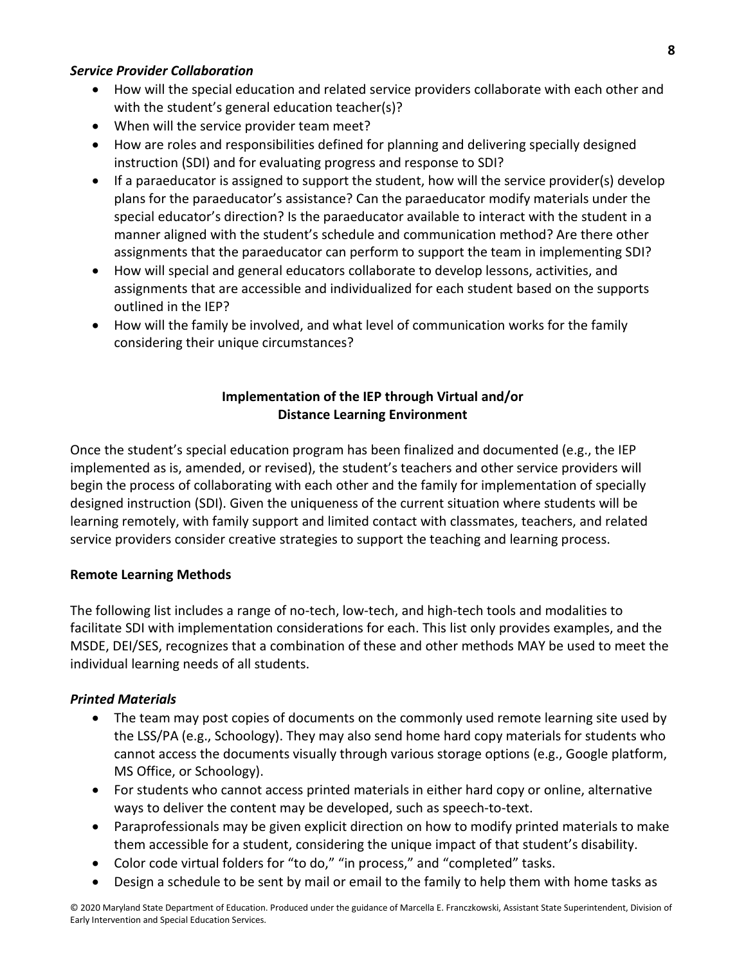#### *Service Provider Collaboration*

- How will the special education and related service providers collaborate with each other and with the student's general education teacher(s)?
- When will the service provider team meet?
- How are roles and responsibilities defined for planning and delivering specially designed instruction (SDI) and for evaluating progress and response to SDI?
- If a paraeducator is assigned to support the student, how will the service provider(s) develop plans for the paraeducator's assistance? Can the paraeducator modify materials under the special educator's direction? Is the paraeducator available to interact with the student in a manner aligned with the student's schedule and communication method? Are there other assignments that the paraeducator can perform to support the team in implementing SDI?
- How will special and general educators collaborate to develop lessons, activities, and assignments that are accessible and individualized for each student based on the supports outlined in the IEP?
- How will the family be involved, and what level of communication works for the family considering their unique circumstances?

### **Implementation of the IEP through Virtual and/or Distance Learning Environment**

Once the student's special education program has been finalized and documented (e.g., the IEP implemented as is, amended, or revised), the student's teachers and other service providers will begin the process of collaborating with each other and the family for implementation of specially designed instruction (SDI). Given the uniqueness of the current situation where students will be learning remotely, with family support and limited contact with classmates, teachers, and related service providers consider creative strategies to support the teaching and learning process.

### **Remote Learning Methods**

The following list includes a range of no-tech, low-tech, and high-tech tools and modalities to facilitate SDI with implementation considerations for each. This list only provides examples, and the MSDE, DEI/SES, recognizes that a combination of these and other methods MAY be used to meet the individual learning needs of all students.

### *Printed Materials*

- The team may post copies of documents on the commonly used remote learning site used by the LSS/PA (e.g., Schoology). They may also send home hard copy materials for students who cannot access the documents visually through various storage options (e.g., Google platform, MS Office, or Schoology).
- For students who cannot access printed materials in either hard copy or online, alternative ways to deliver the content may be developed, such as speech-to-text.
- Paraprofessionals may be given explicit direction on how to modify printed materials to make them accessible for a student, considering the unique impact of that student's disability.
- Color code virtual folders for "to do," "in process," and "completed" tasks.
- Design a schedule to be sent by mail or email to the family to help them with home tasks as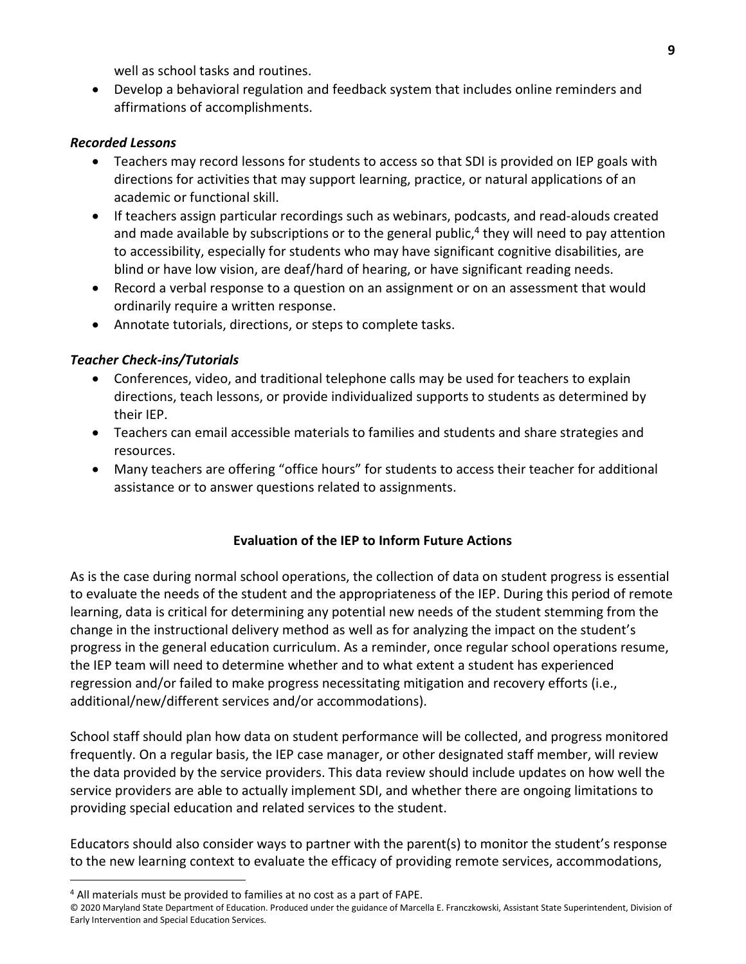well as school tasks and routines.

• Develop a behavioral regulation and feedback system that includes online reminders and affirmations of accomplishments.

### *Recorded Lessons*

- Teachers may record lessons for students to access so that SDI is provided on IEP goals with directions for activities that may support learning, practice, or natural applications of an academic or functional skill.
- If teachers assign particular recordings such as webinars, podcasts, and read-alouds created and made available by subscriptions or to the general public, $4$  they will need to pay attention to accessibility, especially for students who may have significant cognitive disabilities, are blind or have low vision, are deaf/hard of hearing, or have significant reading needs.
- Record a verbal response to a question on an assignment or on an assessment that would ordinarily require a written response.
- Annotate tutorials, directions, or steps to complete tasks.

# *Teacher Check-ins/Tutorials*

- Conferences, video, and traditional telephone calls may be used for teachers to explain directions, teach lessons, or provide individualized supports to students as determined by their IEP.
- Teachers can email accessible materials to families and students and share strategies and resources.
- Many teachers are offering "office hours" for students to access their teacher for additional assistance or to answer questions related to assignments.

### **Evaluation of the IEP to Inform Future Actions**

As is the case during normal school operations, the collection of data on student progress is essential to evaluate the needs of the student and the appropriateness of the IEP. During this period of remote learning, data is critical for determining any potential new needs of the student stemming from the change in the instructional delivery method as well as for analyzing the impact on the student's progress in the general education curriculum. As a reminder, once regular school operations resume, the IEP team will need to determine whether and to what extent a student has experienced regression and/or failed to make progress necessitating mitigation and recovery efforts (i.e., additional/new/different services and/or accommodations).

School staff should plan how data on student performance will be collected, and progress monitored frequently. On a regular basis, the IEP case manager, or other designated staff member, will review the data provided by the service providers. This data review should include updates on how well the service providers are able to actually implement SDI, and whether there are ongoing limitations to providing special education and related services to the student.

Educators should also consider ways to partner with the parent(s) to monitor the student's response to the new learning context to evaluate the efficacy of providing remote services, accommodations,

 $\overline{a}$ 

<sup>&</sup>lt;sup>4</sup> All materials must be provided to families at no cost as a part of FAPE.

<sup>© 2020</sup> Maryland State Department of Education. Produced under the guidance of Marcella E. Franczkowski, Assistant State Superintendent, Division of Early Intervention and Special Education Services.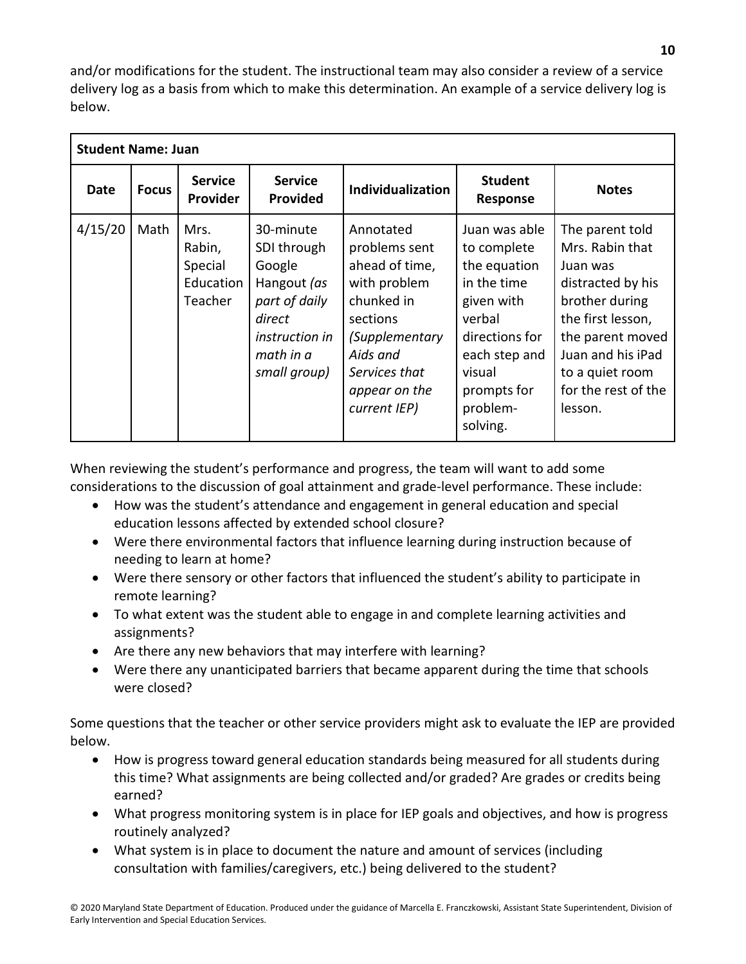and/or modifications for the student. The instructional team may also consider a review of a service delivery log as a basis from which to make this determination. An example of a service delivery log is below.

| <b>Student Name: Juan</b> |              |                                                   |                                                                                                                                    |                                                                                                                                                                        |                                                                                                                                                                         |                                                                                                                                                                                                          |  |  |  |  |
|---------------------------|--------------|---------------------------------------------------|------------------------------------------------------------------------------------------------------------------------------------|------------------------------------------------------------------------------------------------------------------------------------------------------------------------|-------------------------------------------------------------------------------------------------------------------------------------------------------------------------|----------------------------------------------------------------------------------------------------------------------------------------------------------------------------------------------------------|--|--|--|--|
| Date                      | <b>Focus</b> | <b>Service</b><br>Provider                        | <b>Service</b><br><b>Provided</b>                                                                                                  | <b>Individualization</b>                                                                                                                                               | <b>Student</b><br>Response                                                                                                                                              | <b>Notes</b>                                                                                                                                                                                             |  |  |  |  |
| 4/15/20                   | Math         | Mrs.<br>Rabin,<br>Special<br>Education<br>Teacher | 30-minute<br>SDI through<br>Google<br>Hangout (as<br>part of daily<br>direct<br><i>instruction in</i><br>math in a<br>small group) | Annotated<br>problems sent<br>ahead of time,<br>with problem<br>chunked in<br>sections<br>(Supplementary<br>Aids and<br>Services that<br>appear on the<br>current IEP) | Juan was able<br>to complete<br>the equation<br>in the time<br>given with<br>verbal<br>directions for<br>each step and<br>visual<br>prompts for<br>problem-<br>solving. | The parent told<br>Mrs. Rabin that<br>Juan was<br>distracted by his<br>brother during<br>the first lesson,<br>the parent moved<br>Juan and his iPad<br>to a quiet room<br>for the rest of the<br>lesson. |  |  |  |  |

When reviewing the student's performance and progress, the team will want to add some considerations to the discussion of goal attainment and grade-level performance. These include:

- How was the student's attendance and engagement in general education and special education lessons affected by extended school closure?
- Were there environmental factors that influence learning during instruction because of needing to learn at home?
- Were there sensory or other factors that influenced the student's ability to participate in remote learning?
- To what extent was the student able to engage in and complete learning activities and assignments?
- Are there any new behaviors that may interfere with learning?
- Were there any unanticipated barriers that became apparent during the time that schools were closed?

Some questions that the teacher or other service providers might ask to evaluate the IEP are provided below.

- How is progress toward general education standards being measured for all students during this time? What assignments are being collected and/or graded? Are grades or credits being earned?
- What progress monitoring system is in place for IEP goals and objectives, and how is progress routinely analyzed?
- What system is in place to document the nature and amount of services (including consultation with families/caregivers, etc.) being delivered to the student?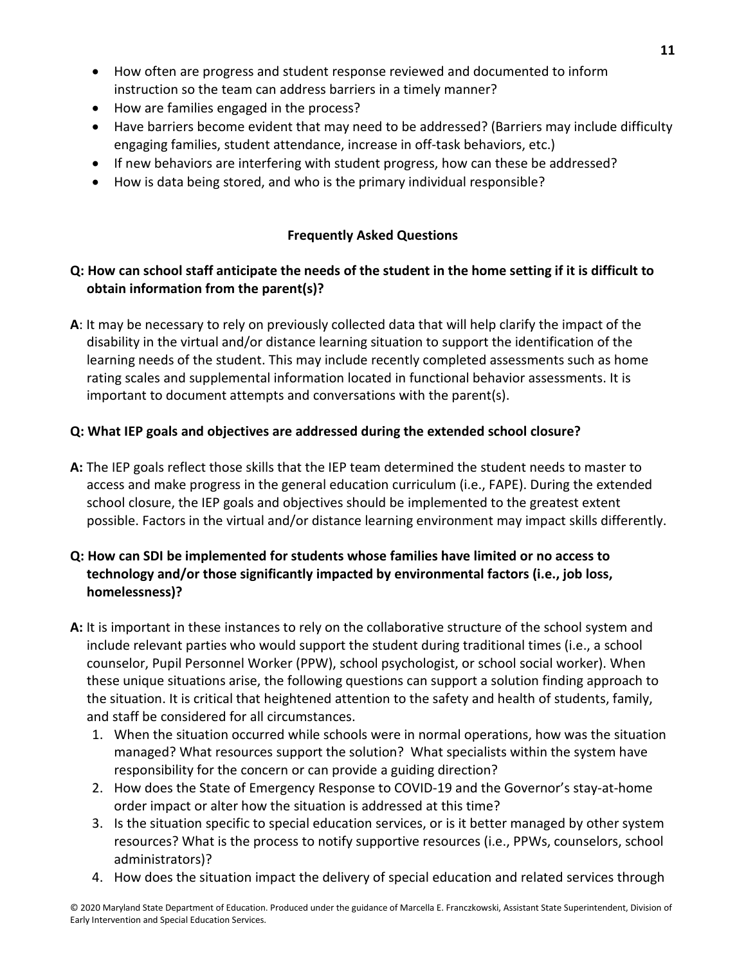- How often are progress and student response reviewed and documented to inform instruction so the team can address barriers in a timely manner?
- How are families engaged in the process?
- Have barriers become evident that may need to be addressed? (Barriers may include difficulty engaging families, student attendance, increase in off-task behaviors, etc.)
- If new behaviors are interfering with student progress, how can these be addressed?
- How is data being stored, and who is the primary individual responsible?

### **Frequently Asked Questions**

# **Q: How can school staff anticipate the needs of the student in the home setting if it is difficult to obtain information from the parent(s)?**

**A**: It may be necessary to rely on previously collected data that will help clarify the impact of the disability in the virtual and/or distance learning situation to support the identification of the learning needs of the student. This may include recently completed assessments such as home rating scales and supplemental information located in functional behavior assessments. It is important to document attempts and conversations with the parent(s).

### **Q: What IEP goals and objectives are addressed during the extended school closure?**

**A:** The IEP goals reflect those skills that the IEP team determined the student needs to master to access and make progress in the general education curriculum (i.e., FAPE). During the extended school closure, the IEP goals and objectives should be implemented to the greatest extent possible. Factors in the virtual and/or distance learning environment may impact skills differently.

# **Q: How can SDI be implemented for students whose families have limited or no access to technology and/or those significantly impacted by environmental factors (i.e., job loss, homelessness)?**

- **A:** It is important in these instances to rely on the collaborative structure of the school system and include relevant parties who would support the student during traditional times (i.e., a school counselor, Pupil Personnel Worker (PPW), school psychologist, or school social worker). When these unique situations arise, the following questions can support a solution finding approach to the situation. It is critical that heightened attention to the safety and health of students, family, and staff be considered for all circumstances.
	- 1. When the situation occurred while schools were in normal operations, how was the situation managed? What resources support the solution? What specialists within the system have responsibility for the concern or can provide a guiding direction?
	- 2. How does the State of Emergency Response to COVID-19 and the Governor's stay-at-home order impact or alter how the situation is addressed at this time?
	- 3. Is the situation specific to special education services, or is it better managed by other system resources? What is the process to notify supportive resources (i.e., PPWs, counselors, school administrators)?
	- 4. How does the situation impact the delivery of special education and related services through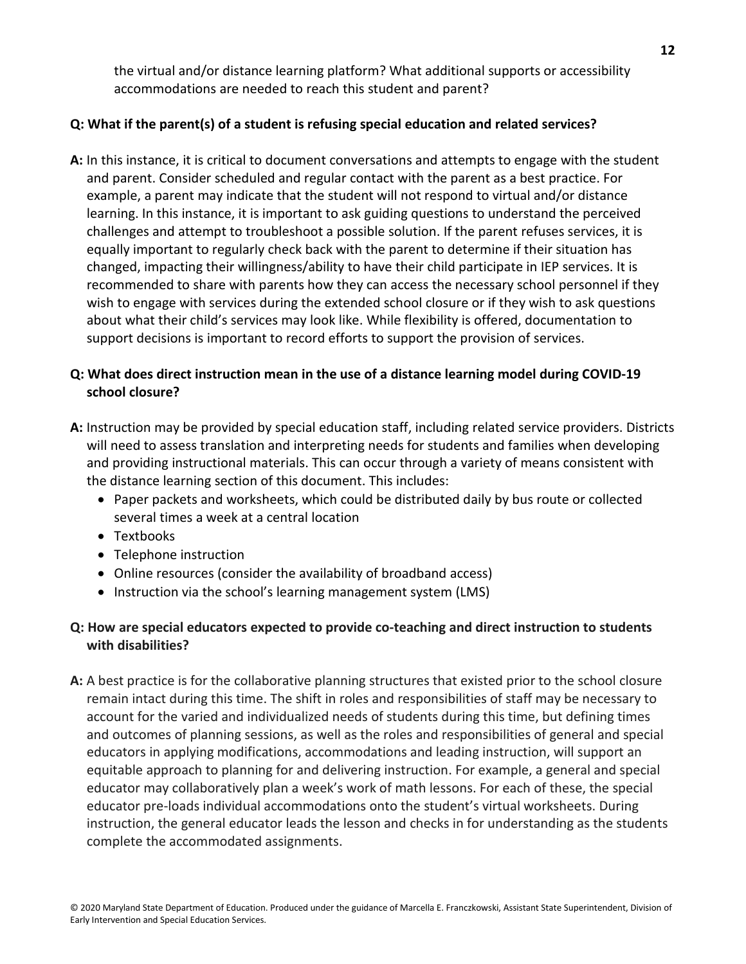the virtual and/or distance learning platform? What additional supports or accessibility accommodations are needed to reach this student and parent?

# **Q: What if the parent(s) of a student is refusing special education and related services?**

**A:** In this instance, it is critical to document conversations and attempts to engage with the student and parent. Consider scheduled and regular contact with the parent as a best practice. For example, a parent may indicate that the student will not respond to virtual and/or distance learning. In this instance, it is important to ask guiding questions to understand the perceived challenges and attempt to troubleshoot a possible solution. If the parent refuses services, it is equally important to regularly check back with the parent to determine if their situation has changed, impacting their willingness/ability to have their child participate in IEP services. It is recommended to share with parents how they can access the necessary school personnel if they wish to engage with services during the extended school closure or if they wish to ask questions about what their child's services may look like. While flexibility is offered, documentation to support decisions is important to record efforts to support the provision of services.

# **Q: What does direct instruction mean in the use of a distance learning model during COVID-19 school closure?**

- **A:** Instruction may be provided by special education staff, including related service providers. Districts will need to assess translation and interpreting needs for students and families when developing and providing instructional materials. This can occur through a variety of means consistent with the distance learning section of this document. This includes:
	- Paper packets and worksheets, which could be distributed daily by bus route or collected several times a week at a central location
	- Textbooks
	- Telephone instruction
	- Online resources (consider the availability of broadband access)
	- Instruction via the school's learning management system (LMS)

# **Q: How are special educators expected to provide co-teaching and direct instruction to students with disabilities?**

**A:** A best practice is for the collaborative planning structures that existed prior to the school closure remain intact during this time. The shift in roles and responsibilities of staff may be necessary to account for the varied and individualized needs of students during this time, but defining times and outcomes of planning sessions, as well as the roles and responsibilities of general and special educators in applying modifications, accommodations and leading instruction, will support an equitable approach to planning for and delivering instruction. For example, a general and special educator may collaboratively plan a week's work of math lessons. For each of these, the special educator pre-loads individual accommodations onto the student's virtual worksheets. During instruction, the general educator leads the lesson and checks in for understanding as the students complete the accommodated assignments.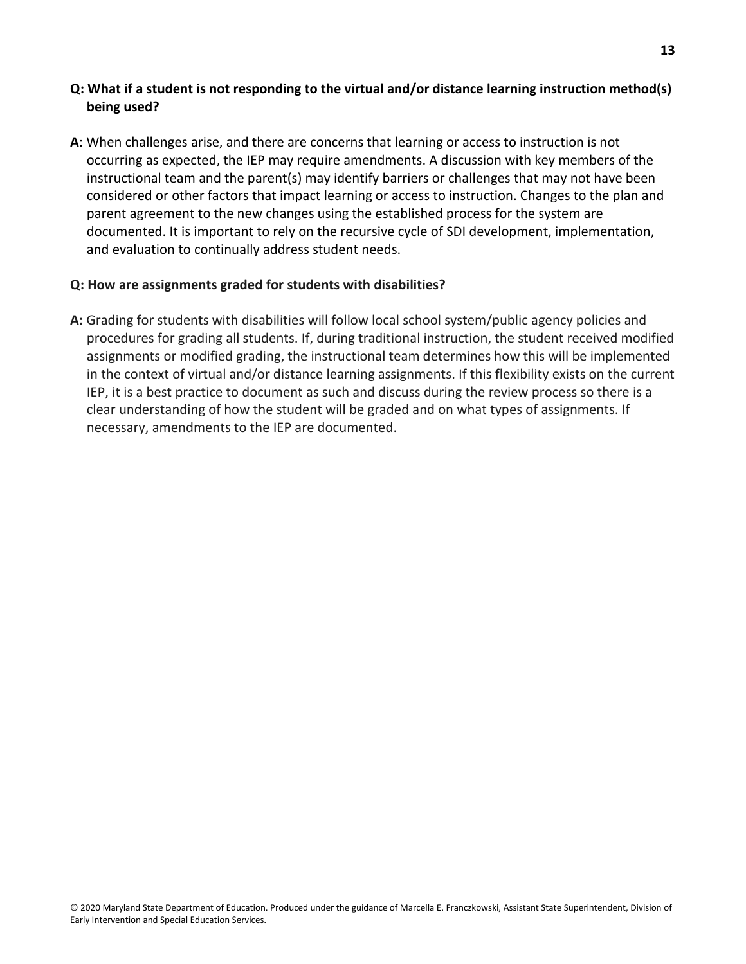## **Q: What if a student is not responding to the virtual and/or distance learning instruction method(s) being used?**

**A**: When challenges arise, and there are concerns that learning or access to instruction is not occurring as expected, the IEP may require amendments. A discussion with key members of the instructional team and the parent(s) may identify barriers or challenges that may not have been considered or other factors that impact learning or access to instruction. Changes to the plan and parent agreement to the new changes using the established process for the system are documented. It is important to rely on the recursive cycle of SDI development, implementation, and evaluation to continually address student needs.

### **Q: How are assignments graded for students with disabilities?**

**A:** Grading for students with disabilities will follow local school system/public agency policies and procedures for grading all students. If, during traditional instruction, the student received modified assignments or modified grading, the instructional team determines how this will be implemented in the context of virtual and/or distance learning assignments. If this flexibility exists on the current IEP, it is a best practice to document as such and discuss during the review process so there is a clear understanding of how the student will be graded and on what types of assignments. If necessary, amendments to the IEP are documented.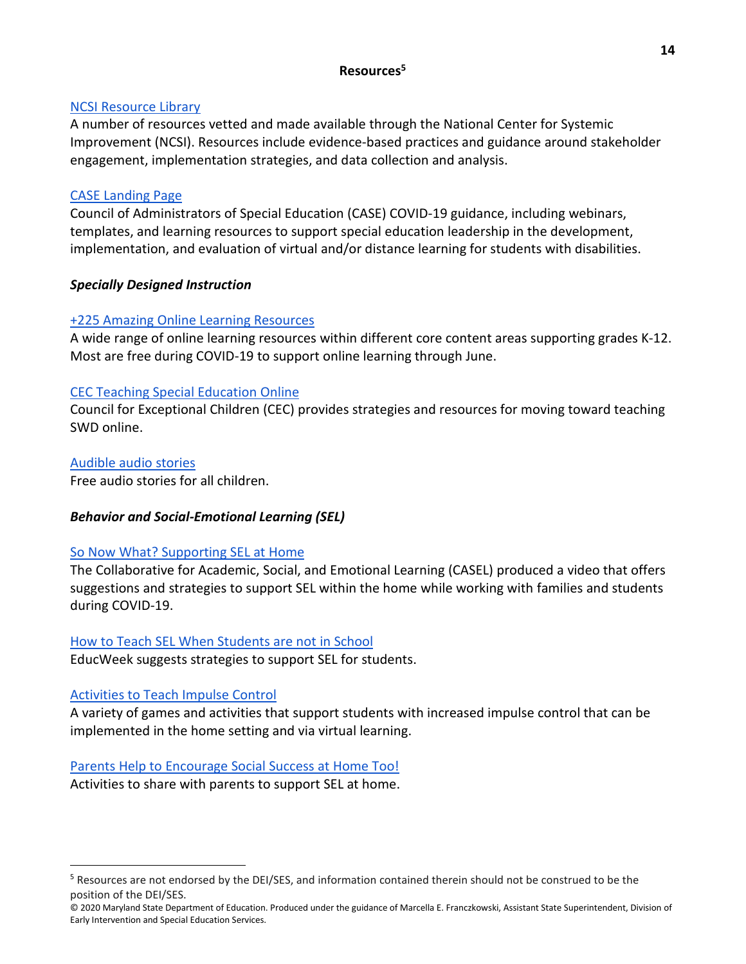# **Resources5**

### [NCSI Resource Library](https://ncsi-library.wested.org/resources)

A number of resources vetted and made available through the National Center for Systemic Improvement (NCSI). Resources include evidence-based practices and guidance around stakeholder engagement, implementation strategies, and data collection and analysis.

### [CASE Landing Page](https://www.casecec.org/)

Council of Administrators of Special Education (CASE) COVID-19 guidance, including webinars, templates, and learning resources to support special education leadership in the development, implementation, and evaluation of virtual and/or distance learning for students with disabilities.

### *Specially Designed Instruction*

### [+225 Amazing Online Learning Resources](https://www.weareteachers.com/free-online-learning-resources/#k12)

A wide range of online learning resources within different core content areas supporting grades K-12. Most are free during COVID-19 to support online learning through June.

### [CEC Teaching Special Education Online](https://cec.sped.org/teachingonlineduringcovid19)

Council for Exceptional Children (CEC) provides strategies and resources for moving toward teaching SWD online.

### [Audible audio stories](https://stories.audible.com/start-listen)

Free audio stories for all children.

### *Behavior and Social-Emotional Learning (SEL)*

### [So Now What? Supporting SEL at Home](https://www.youtube.com/watch?v=W8W-GklHGX0)

The Collaborative for Academic, Social, and Emotional Learning (CASEL) produced a video that offers suggestions and strategies to support SEL within the home while working with families and students during COVID-19.

### How to Teach SEL When [Students are not in School](https://www.edweek.org/ew/articles/2020/03/30/how-to-teach-social-emotional-learning-when-students.html?print=1)

EducWeek suggests strategies to support SEL for students.

### [Activities to Teach Impulse Control](https://www.apsva.us/wp-content/uploads/2020/03/Activities-to-Teach-Children-Impulse-Control.pdf)

 $\overline{a}$ 

A variety of games and activities that support students with increased impulse control that can be implemented in the home setting and via virtual learning.

### [Parents Help to Encourage Social Success at Home Too!](https://www.apsva.us/wp-content/uploads/2020/03/HandyHandouts-Parentscanhelpsocial-1.pdf)

Activities to share with parents to support SEL at home.

<sup>&</sup>lt;sup>5</sup> Resources are not endorsed by the DEI/SES, and information contained therein should not be construed to be the position of the DEI/SES.

<sup>© 2020</sup> Maryland State Department of Education. Produced under the guidance of Marcella E. Franczkowski, Assistant State Superintendent, Division of Early Intervention and Special Education Services.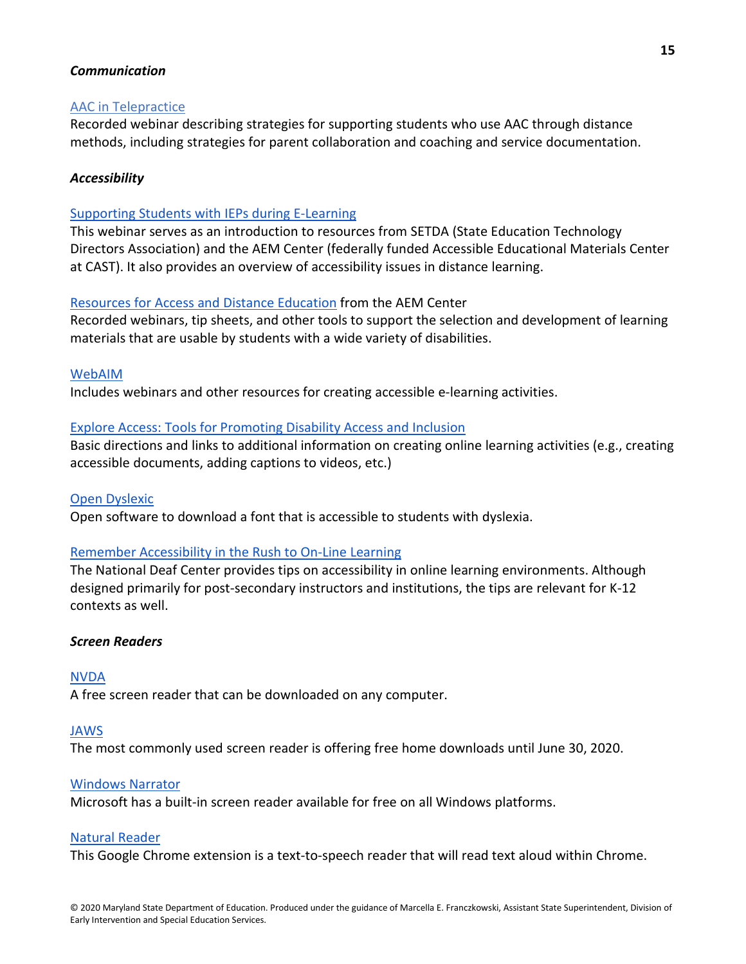#### *Communication*

#### [AAC in Telepractice](https://presenters.aacconference.com/videos/UVRGQk1qQT0=?fbclid=IwAR3NM2y08JXPTz7VP79n9gy_MnbEVDGRwTB2tvyT9m2KpJBCAC-ulf2BjOA)

Recorded webinar describing strategies for supporting students who use AAC through distance methods, including strategies for parent collaboration and coaching and service documentation.

#### *Accessibility*

#### [Supporting Students with](https://docs.google.com/presentation/d/1hvjh_TqphwzsGTDJlEV7uRLozJiqvYA6G0LJic90fvk/edit#slide=id.p1) IEPs during E-Learning

This webinar serves as an introduction to resources from SETDA (State Education Technology Directors Association) and the AEM Center (federally funded Accessible Educational Materials Center at CAST). It also provides an overview of accessibility issues in distance learning.

#### [Resources for Access and Distance Education](http://aem.cast.org/about/aem-center-covid-19-resources.html) from the AEM Center

Recorded webinars, tip sheets, and other tools to support the selection and development of learning materials that are usable by students with a wide variety of disabilities.

[WebAIM](https://webaim.org/)

Includes webinars and other resources for creating accessible e-learning activities.

#### [Explore Access: Tools for Promoting Disability Access and Inclusion](https://exploreaccess.org/accessible-online-course/)

Basic directions and links to additional information on creating online learning activities (e.g., creating accessible documents, adding captions to videos, etc.)

#### [Open Dyslexic](https://opendyslexic.org/)

Open software to download a font that is accessible to students with dyslexia.

#### [Remember Accessibility in the Rush to On-Line Learning](https://www.nationaldeafcenter.org/news/remember-accessibility-rush-online-instruction-10-tips-educators)

The National Deaf Center provides tips on accessibility in online learning environments. Although designed primarily for post-secondary instructors and institutions, the tips are relevant for K-12 contexts as well.

#### *Screen Readers*

#### [NVDA](https://www.nvaccess.org/)

A free screen reader that can be downloaded on any computer.

#### [JAWS](https://www.freedomscientific.com/?utm_term=freedom%20scientific&utm_source=adwords&utm_campaign=Fredom+Brand&utm_medium=ppc&hsa_tgt=aud-544366240235:kwd-295366185782&hsa_cam=1625032041&hsa_ad=310489276717&hsa_kw=freedom%20scientific&hsa_grp=63274600978&hsa_net=adwords&hsa_mt=e&hsa_src=g&hsa_acc=1684996396&hsa_ver=3&gclid=CjwKCAjwg6b0BRBMEiwANd1_SOgDt0OKhVfcvMhl6eZHqmkAj5yy9s7PMt85auISi_JpDLaFH_c7uBoCCwEQAvD_BwE)

The most commonly used screen reader is offering free home downloads until June 30, 2020.

#### [Windows Narrator](https://support.microsoft.com/en-us/help/22798/windows-10-complete-guide-to-narrator)

Microsoft has a built-in screen reader available for free on all Windows platforms.

#### [Natural Reader](https://www.naturalreaders.com/chrome_ext.html)

This Google Chrome extension is a text-to-speech reader that will read text aloud within Chrome.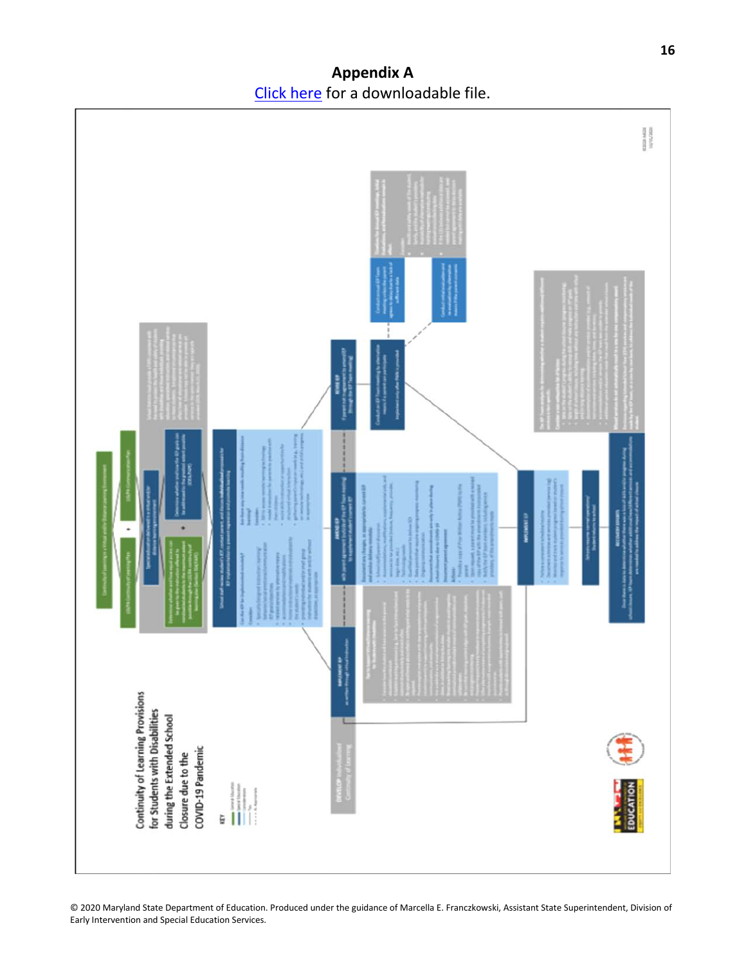**Appendix A**  [Click here](https://1drv.ms/w/s!AuaCWb0zb5TFgaFUVkK6uVemAIE52Q?e=XAdjBT) for a downloadable file.



© 2020 Maryland State Department of Education. Produced under the guidance of Marcella E. Franczkowski, Assistant State Superintendent, Division of Early Intervention and Special Education Services.